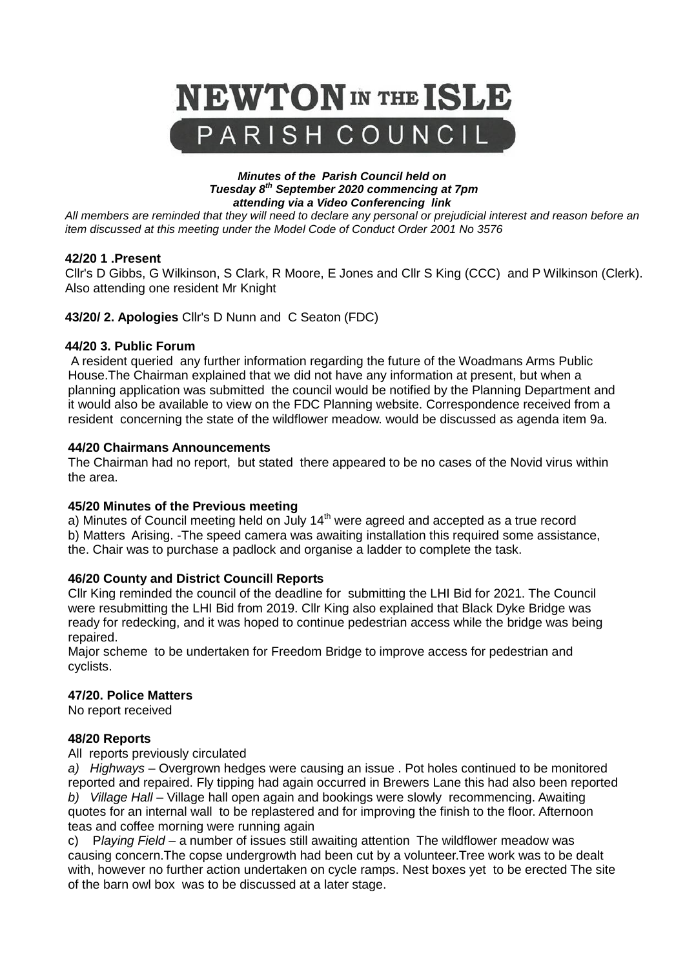

#### *Minutes of the Parish Council held on Tuesday 8th September 2020 commencing at 7pm attending via a Video Conferencing link*

*All members are reminded that they will need to declare any personal or prejudicial interest and reason before an item discussed at this meeting under the Model Code of Conduct Order 2001 No 3576*

#### **42/20 1 .Present**

Cllr's D Gibbs, G Wilkinson, S Clark, R Moore, E Jones and Cllr S King (CCC) and P Wilkinson (Clerk). Also attending one resident Mr Knight

**43/20/ 2. Apologies** Cllr's D Nunn and C Seaton (FDC)

#### **44/20 3. Public Forum**

A resident queried any further information regarding the future of the Woadmans Arms Public House.The Chairman explained that we did not have any information at present, but when a planning application was submitted the council would be notified by the Planning Department and it would also be available to view on the FDC Planning website. Correspondence received from a resident concerning the state of the wildflower meadow. would be discussed as agenda item 9a.

#### **44/20 Chairmans Announcements**

The Chairman had no report, but stated there appeared to be no cases of the Novid virus within the area.

#### **45/20 Minutes of the Previous meeting**

a) Minutes of Council meeting held on July  $14<sup>th</sup>$  were agreed and accepted as a true record b) Matters Arising. -The speed camera was awaiting installation this required some assistance, the. Chair was to purchase a padlock and organise a ladder to complete the task.

## **46/20 County and District Council**l **Reports**

Cllr King reminded the council of the deadline for submitting the LHI Bid for 2021. The Council were resubmitting the LHI Bid from 2019. Cllr King also explained that Black Dyke Bridge was ready for redecking, and it was hoped to continue pedestrian access while the bridge was being repaired.

Major scheme to be undertaken for Freedom Bridge to improve access for pedestrian and cyclists.

#### **47/20. Police Matters**

No report received

#### **48/20 Reports**

#### All reports previously circulated

*a) Highways* – Overgrown hedges were causing an issue . Pot holes continued to be monitored reported and repaired. Fly tipping had again occurred in Brewers Lane this had also been reported *b) Village Hall* – Village hall open again and bookings were slowly recommencing. Awaiting quotes for an internal wall to be replastered and for improving the finish to the floor. Afternoon teas and coffee morning were running again

c) P*laying Field* – a number of issues still awaiting attention The wildflower meadow was causing concern.The copse undergrowth had been cut by a volunteer.Tree work was to be dealt with, however no further action undertaken on cycle ramps. Nest boxes yet to be erected The site of the barn owl box was to be discussed at a later stage.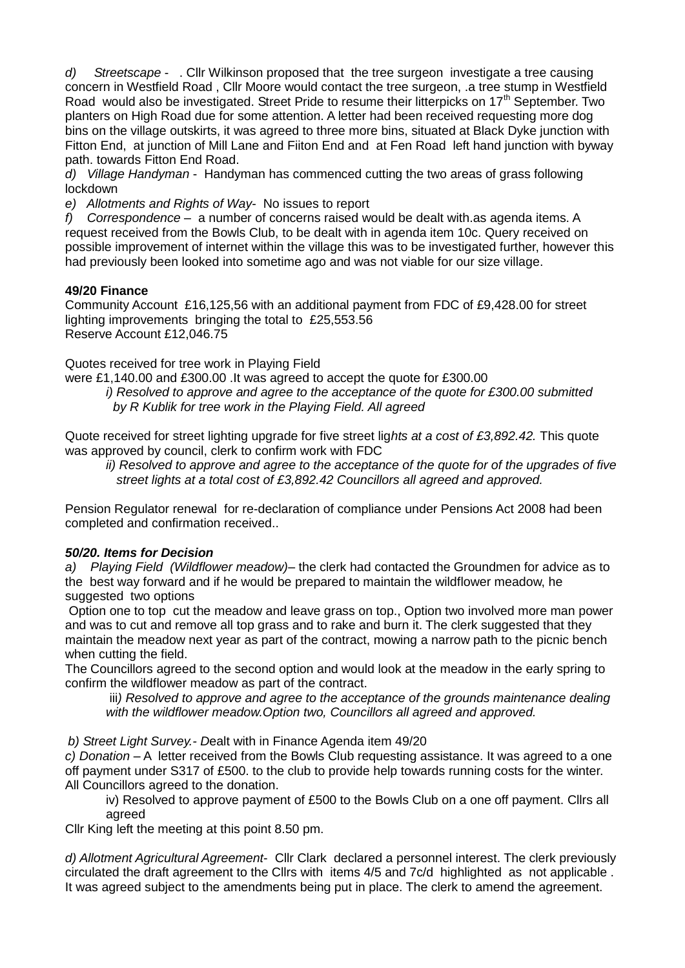*d) Streetscape* - . Cllr Wilkinson proposed that the tree surgeon investigate a tree causing concern in Westfield Road , Cllr Moore would contact the tree surgeon, .a tree stump in Westfield Road would also be investigated. Street Pride to resume their litterpicks on 17<sup>th</sup> September. Two planters on High Road due for some attention. A letter had been received requesting more dog bins on the village outskirts, it was agreed to three more bins, situated at Black Dyke junction with Fitton End, at junction of Mill Lane and Fiiton End and at Fen Road left hand junction with byway path. towards Fitton End Road.

*d) Village Handyman* - Handyman has commenced cutting the two areas of grass following lockdown

*e) Allotments and Rights of Way*- No issues to report

*f) Correspondence* – a number of concerns raised would be dealt with.as agenda items. A request received from the Bowls Club, to be dealt with in agenda item 10c. Query received on possible improvement of internet within the village this was to be investigated further, however this had previously been looked into sometime ago and was not viable for our size village.

### **49/20 Finance**

Community Account £16,125,56 with an additional payment from FDC of £9,428.00 for street lighting improvements bringing the total to £25,553.56 Reserve Account £12,046.75

Quotes received for tree work in Playing Field

were £1,140.00 and £300.00 .It was agreed to accept the quote for £300.00 *i) Resolved to approve and agree to the acceptance of the quote for £300.00 submitted by R Kublik for tree work in the Playing Field. All agreed*

Quote received for street lighting upgrade for five street lig*hts at a cost of £3,892.42.* This quote was approved by council, clerk to confirm work with FDC

*ii) Resolved to approve and agree to the acceptance of the quote for of the upgrades of five street lights at a total cost of £3,892.42 Councillors all agreed and approved.*

Pension Regulator renewal for re-declaration of compliance under Pensions Act 2008 had been completed and confirmation received..

## *50/20. Items for Decision*

*a) Playing Field (Wildflower meadow)–* the clerk had contacted the Groundmen for advice as to the best way forward and if he would be prepared to maintain the wildflower meadow, he suggested two options

Option one to top cut the meadow and leave grass on top., Option two involved more man power and was to cut and remove all top grass and to rake and burn it. The clerk suggested that they maintain the meadow next year as part of the contract, mowing a narrow path to the picnic bench when cutting the field.

The Councillors agreed to the second option and would look at the meadow in the early spring to confirm the wildflower meadow as part of the contract.

iii) Resolved to approve and agree to the acceptance of the grounds maintenance dealing *with the wildflower meadow.Option two, Councillors all agreed and approved.*

*b) Street Light Survey.- D*ealt with in Finance Agenda item 49/20

*c) Donation* – A letter received from the Bowls Club requesting assistance. It was agreed to a one off payment under S317 of £500. to the club to provide help towards running costs for the winter. All Councillors agreed to the donation.

iv) Resolved to approve payment of £500 to the Bowls Club on a one off payment. Cllrs all agreed

Cllr King left the meeting at this point 8.50 pm.

*d) Allotment Agricultural Agreement*- Cllr Clark declared a personnel interest. The clerk previously circulated the draft agreement to the Cllrs with items 4/5 and 7c/d highlighted as not applicable . It was agreed subject to the amendments being put in place. The clerk to amend the agreement.